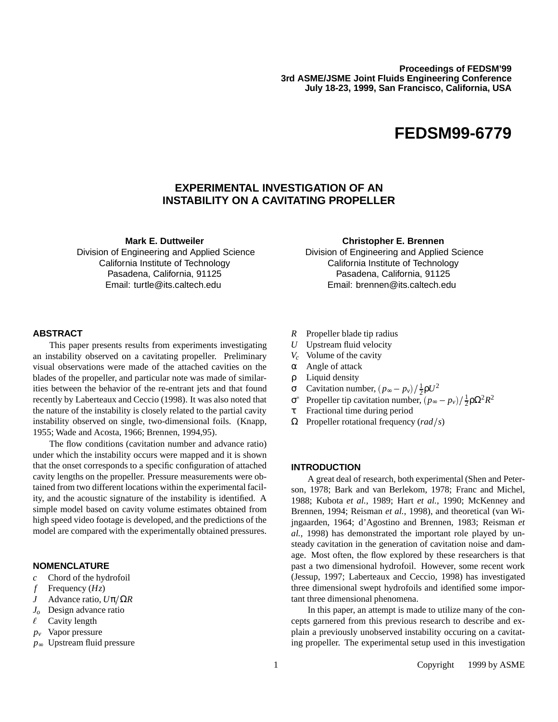**Proceedings of FEDSM'99 3rd ASME/JSME Joint Fluids Engineering Conference July 18-23, 1999, San Francisco, California, USA**

# **FEDSM99-6779**

# **EXPERIMENTAL INVESTIGATION OF AN INSTABILITY ON A CAVITATING PROPELLER**

**Mark E. Duttweiler**

Division of Engineering and Applied Science California Institute of Technology Pasadena, California, 91125 Email: turtle@its.caltech.edu

#### **Christopher E. Brennen**

Division of Engineering and Applied Science California Institute of Technology Pasadena, California, 91125 Email: brennen@its.caltech.edu

# **ABSTRACT**

This paper presents results from experiments investigating an instability observed on a cavitating propeller. Preliminary visual observations were made of the attached cavities on the blades of the propeller, and particular note was made of similarities between the behavior of the re-entrant jets and that found recently by Laberteaux and Ceccio (1998). It was also noted that the nature of the instability is closely related to the partial cavity instability observed on single, two-dimensional foils. (Knapp, 1955; Wade and Acosta, 1966; Brennen, 1994,95).

The flow conditions (cavitation number and advance ratio) under which the instability occurs were mapped and it is shown that the onset corresponds to a specific configuration of attached cavity lengths on the propeller. Pressure measurements were obtained from two different locations within the experimental facility, and the acoustic signature of the instability is identified. A simple model based on cavity volume estimates obtained from high speed video footage is developed, and the predictions of the model are compared with the experimentally obtained pressures.

# **NOMENCLATURE**

- *c* Chord of the hydrofoil
- *f* Frequency (*Hz*)
- *J* Advance ratio,  $U$ π/Ω*R*
- *Jo* Design advance ratio
- $\ell$  Cavity length
- *pv* Vapor pressure
- *p*<sup>∞</sup> Upstream fluid pressure
- *R* Propeller blade tip radius
- *U* Upstream fluid velocity
- *Vc* Volume of the cavity
- α Angle of attack
- ρ Liquid density
- σ Cavitation number,  $(p_∞ p_ν)/\frac{1}{2}ρU^2$
- σ<sup>\*</sup> Propeller tip cavitation number,  $(p<sub>∞</sub> − p<sub>v</sub>)/\frac{1}{2}ρΩ<sup>2</sup>R<sup>2</sup>$
- τ Fractional time during period
- $Ω$  Propeller rotational frequency (*rad* / *s*)

#### **INTRODUCTION**

A great deal of research, both experimental (Shen and Peterson, 1978; Bark and van Berlekom, 1978; Franc and Michel, 1988; Kubota *et al.*, 1989; Hart *et al.*, 1990; McKenney and Brennen, 1994; Reisman *et al.*, 1998), and theoretical (van Wijngaarden, 1964; d'Agostino and Brennen, 1983; Reisman *et al.*, 1998) has demonstrated the important role played by unsteady cavitation in the generation of cavitation noise and damage. Most often, the flow explored by these researchers is that past a two dimensional hydrofoil. However, some recent work (Jessup, 1997; Laberteaux and Ceccio, 1998) has investigated three dimensional swept hydrofoils and identified some important three dimensional phenomena.

In this paper, an attempt is made to utilize many of the concepts garnered from this previous research to describe and explain a previously unobserved instability occuring on a cavitating propeller. The experimental setup used in this investigation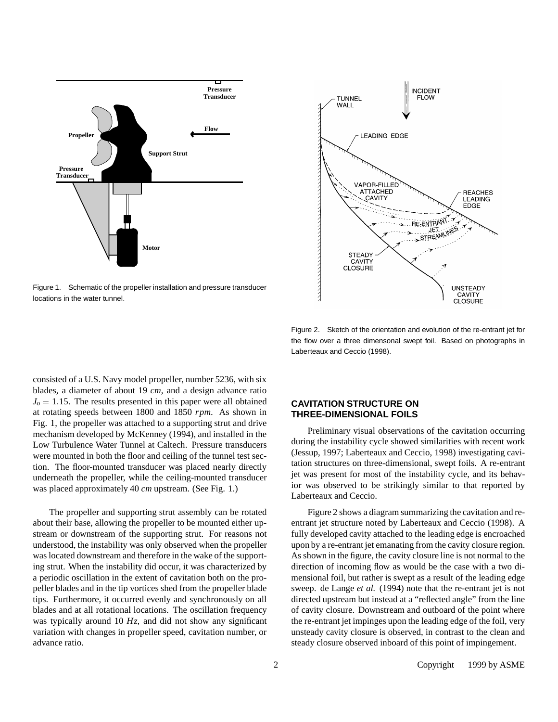

Figure 1. Schematic of the propeller installation and pressure transducer locations in the water tunnel.



Figure 2. Sketch of the orientation and evolution of the re-entrant jet for the flow over a three dimensonal swept foil. Based on photographs in Laberteaux and Ceccio (1998).

consisted of a U.S. Navy model propeller, number 5236, with six blades, a diameter of about 19 *cm*, and a design advance ratio  $J<sub>o</sub> = 1.15$ . The results presented in this paper were all obtained at rotating speeds between 1800 and 1850 *rpm*. As shown in Fig. 1, the propeller was attached to a supporting strut and drive mechanism developed by McKenney (1994), and installed in the Low Turbulence Water Tunnel at Caltech. Pressure transducers were mounted in both the floor and ceiling of the tunnel test section. The floor-mounted transducer was placed nearly directly underneath the propeller, while the ceiling-mounted transducer was placed approximately 40 *cm* upstream. (See Fig. 1.)

The propeller and supporting strut assembly can be rotated about their base, allowing the propeller to be mounted either upstream or downstream of the supporting strut. For reasons not understood, the instability was only observed when the propeller was located downstream and therefore in the wake of the supporting strut. When the instability did occur, it was characterized by a periodic oscillation in the extent of cavitation both on the propeller blades and in the tip vortices shed from the propeller blade tips. Furthermore, it occurred evenly and synchronously on all blades and at all rotational locations. The oscillation frequency was typically around 10 *Hz*, and did not show any significant variation with changes in propeller speed, cavitation number, or advance ratio.

# **CAVITATION STRUCTURE ON THREE-DIMENSIONAL FOILS**

Preliminary visual observations of the cavitation occurring during the instability cycle showed similarities with recent work (Jessup, 1997; Laberteaux and Ceccio, 1998) investigating cavitation structures on three-dimensional, swept foils. A re-entrant jet was present for most of the instability cycle, and its behavior was observed to be strikingly similar to that reported by Laberteaux and Ceccio.

Figure 2 shows a diagram summarizing the cavitation and reentrant jet structure noted by Laberteaux and Ceccio (1998). A fully developed cavity attached to the leading edge is encroached upon by a re-entrant jet emanating from the cavity closure region. As shown in the figure, the cavity closure line is not normal to the direction of incoming flow as would be the case with a two dimensional foil, but rather is swept as a result of the leading edge sweep. de Lange *et al.* (1994) note that the re-entrant jet is not directed upstream but instead at a "reflected angle" from the line of cavity closure. Downstream and outboard of the point where the re-entrant jet impinges upon the leading edge of the foil, very unsteady cavity closure is observed, in contrast to the clean and steady closure observed inboard of this point of impingement.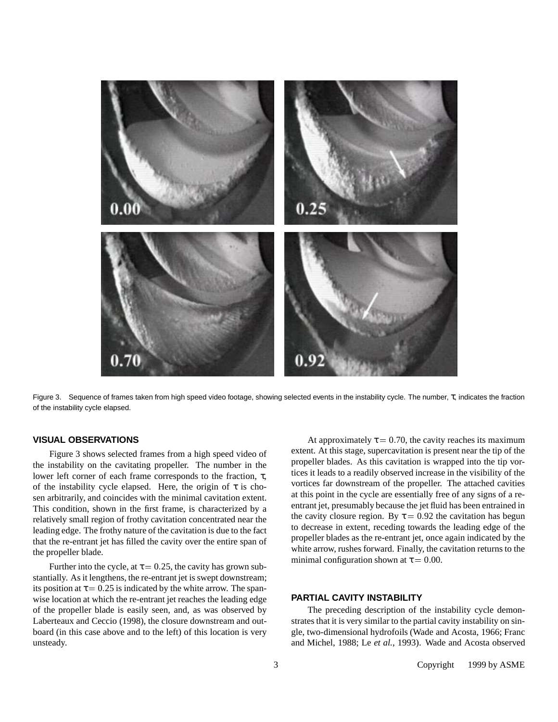

Figure 3. Sequence of frames taken from high speed video footage, showing selected events in the instability cycle. The number, τ, indicates the fraction of the instability cycle elapsed.

#### **VISUAL OBSERVATIONS**

Figure 3 shows selected frames from a high speed video of the instability on the cavitating propeller. The number in the lower left corner of each frame corresponds to the fraction, τ, of the instability cycle elapsed. Here, the origin of  $\tau$  is chosen arbitrarily, and coincides with the minimal cavitation extent. This condition, shown in the first frame, is characterized by a relatively small region of frothy cavitation concentrated near the leading edge. The frothy nature of the cavitation is due to the fact that the re-entrant jet has filled the cavity over the entire span of the propeller blade.

Further into the cycle, at  $\tau = 0.25$ , the cavity has grown substantially. As it lengthens, the re-entrant jet is swept downstream; its position at  $\tau = 0.25$  is indicated by the white arrow. The spanwise location at which the re-entrant jet reaches the leading edge of the propeller blade is easily seen, and, as was observed by Laberteaux and Ceccio (1998), the closure downstream and outboard (in this case above and to the left) of this location is very unsteady.

At approximately  $\tau = 0.70$ , the cavity reaches its maximum extent. At this stage, supercavitation is present near the tip of the propeller blades. As this cavitation is wrapped into the tip vortices it leads to a readily observed increase in the visibility of the vortices far downstream of the propeller. The attached cavities at this point in the cycle are essentially free of any signs of a reentrant jet, presumably because the jet fluid has been entrained in the cavity closure region. By  $\tau = 0.92$  the cavitation has begun to decrease in extent, receding towards the leading edge of the propeller blades as the re-entrant jet, once again indicated by the white arrow, rushes forward. Finally, the cavitation returns to the minimal configuration shown at  $\tau = 0.00$ .

#### **PARTIAL CAVITY INSTABILITY**

The preceding description of the instability cycle demonstrates that it is very similar to the partial cavity instability on single, two-dimensional hydrofoils (Wade and Acosta, 1966; Franc and Michel, 1988; Le *et al.*, 1993). Wade and Acosta observed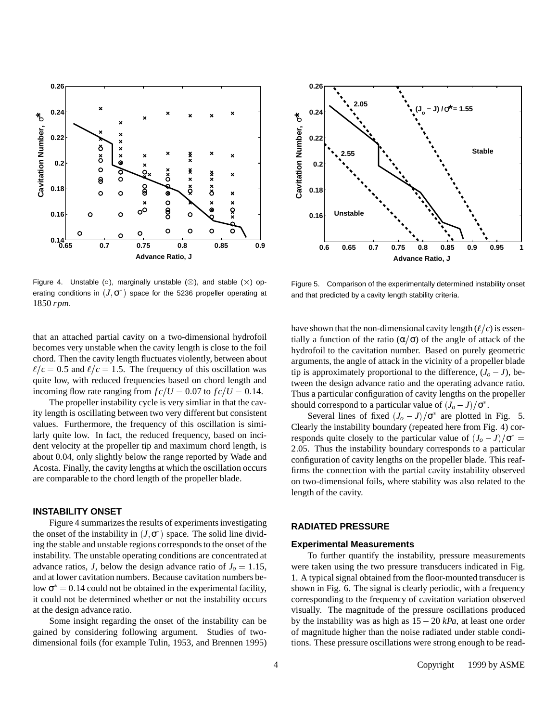

Figure 4. Unstable ( $\circ$ ), marginally unstable ( $\otimes$ ), and stable ( $\times$ ) operating conditions in  $(J, \sigma^*)$  space for the 5236 propeller operating at 1850 *rpm*.

that an attached partial cavity on a two-dimensional hydrofoil becomes very unstable when the cavity length is close to the foil chord. Then the cavity length fluctuates violently, between about  $\ell/c = 0.5$  and  $\ell/c = 1.5$ . The frequency of this oscillation was quite low, with reduced frequencies based on chord length and incoming flow rate ranging from  $fc/U = 0.07$  to  $fc/U = 0.14$ .

The propeller instability cycle is very simliar in that the cavity length is oscillating between two very different but consistent values. Furthermore, the frequency of this oscillation is similarly quite low. In fact, the reduced frequency, based on incident velocity at the propeller tip and maximum chord length, is about 0.04, only slightly below the range reported by Wade and Acosta. Finally, the cavity lengths at which the oscillation occurs are comparable to the chord length of the propeller blade.

# **INSTABILITY ONSET**

Figure 4 summarizes the results of experiments investigating the onset of the instability in  $(J, \sigma^*)$  space. The solid line dividing the stable and unstable regions corresponds to the onset of the instability. The unstable operating conditions are concentrated at advance ratios, *J*, below the design advance ratio of  $J_0 = 1.15$ , and at lower cavitation numbers. Because cavitation numbers below  $\sigma^* = 0.14$  could not be obtained in the experimental facility, it could not be determined whether or not the instability occurs at the design advance ratio.

Some insight regarding the onset of the instability can be gained by considering following argument. Studies of twodimensional foils (for example Tulin, 1953, and Brennen 1995)



Figure 5. Comparison of the experimentally determined instability onset and that predicted by a cavity length stability criteria.

have shown that the non-dimensional cavity length  $(\ell/c)$  is essentially a function of the ratio  $(\alpha/\sigma)$  of the angle of attack of the hydrofoil to the cavitation number. Based on purely geometric arguments, the angle of attack in the vicinity of a propeller blade tip is approximately proportional to the difference,  $(J_0 - J)$ , between the design advance ratio and the operating advance ratio. Thus a particular configuration of cavity lengths on the propeller should correspond to a particular value of  $(J_o - J)/\sigma^*$ .

Several lines of fixed  $(J_o - J)/\sigma^*$  are plotted in Fig. 5. Clearly the instability boundary (repeated here from Fig. 4) corresponds quite closely to the particular value of  $(J_0 - J)/\sigma^* =$ 2:05. Thus the instability boundary corresponds to a particular configuration of cavity lengths on the propeller blade. This reaffirms the connection with the partial cavity instability observed on two-dimensional foils, where stability was also related to the length of the cavity.

## **RADIATED PRESSURE**

#### **Experimental Measurements**

To further quantify the instability, pressure measurements were taken using the two pressure transducers indicated in Fig. 1. A typical signal obtained from the floor-mounted transducer is shown in Fig. 6. The signal is clearly periodic, with a frequency corresponding to the frequency of cavitation variation observed visually. The magnitude of the pressure oscillations produced by the instability was as high as  $15 - 20$  *kPa*, at least one order of magnitude higher than the noise radiated under stable conditions. These pressure oscillations were strong enough to be read-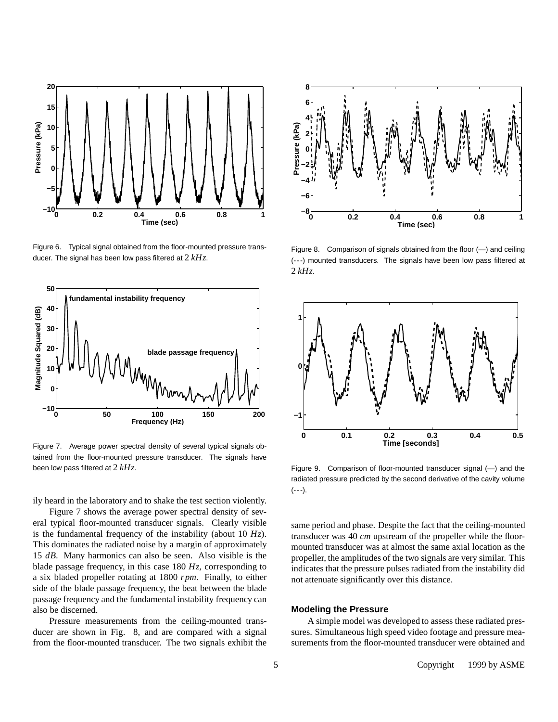

Figure 6. Typical signal obtained from the floor-mounted pressure transducer. The signal has been low pass filtered at 2 *kHz*.



Figure 7. Average power spectral density of several typical signals obtained from the floor-mounted pressure transducer. The signals have been low pass filtered at 2 *kHz*.

ily heard in the laboratory and to shake the test section violently.

Figure 7 shows the average power spectral density of several typical floor-mounted transducer signals. Clearly visible is the fundamental frequency of the instability (about 10 *Hz*). This dominates the radiated noise by a margin of approximately 15 *dB*. Many harmonics can also be seen. Also visible is the blade passage frequency, in this case 180 *Hz*, corresponding to a six bladed propeller rotating at 1800 *rpm*. Finally, to either side of the blade passage frequency, the beat between the blade passage frequency and the fundamental instability frequency can also be discerned.

Pressure measurements from the ceiling-mounted transducer are shown in Fig. 8, and are compared with a signal from the floor-mounted transducer. The two signals exhibit the



Figure 8. Comparison of signals obtained from the floor (—) and ceiling (---) mounted transducers. The signals have been low pass filtered at 2 *kHz*.



Figure 9. Comparison of floor-mounted transducer signal (—) and the radiated pressure predicted by the second derivative of the cavity volume  $(--1)$ .

same period and phase. Despite the fact that the ceiling-mounted transducer was 40 *cm* upstream of the propeller while the floormounted transducer was at almost the same axial location as the propeller, the amplitudes of the two signals are very similar. This indicates that the pressure pulses radiated from the instability did not attenuate significantly over this distance.

#### **Modeling the Pressure**

A simple model was developed to assess these radiated pressures. Simultaneous high speed video footage and pressure measurements from the floor-mounted transducer were obtained and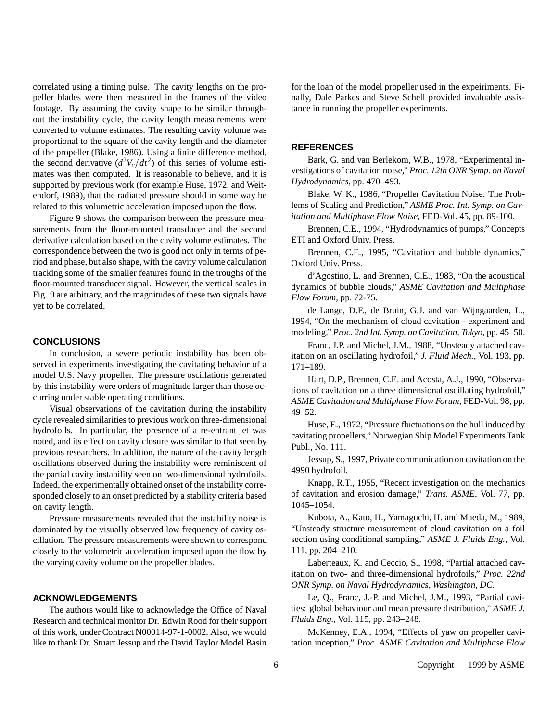correlated using a timing pulse. The cavity lengths on the propeller blades were then measured in the frames of the video footage. By assuming the cavity shape to be similar throughout the instability cycle, the cavity length measurements were converted to volume estimates. The resulting cavity volume was proportional to the square of the cavity length and the diameter of the propeller (Blake, 1986). Using a finite difference method, the second derivative  $\left(d^2V_c/dt^2\right)$  of this series of volume estimates was then computed. It is reasonable to believe, and it is supported by previous work (for example Huse, 1972, and Weitendorf, 1989), that the radiated pressure should in some way be related to this volumetric acceleration imposed upon the flow.

Figure 9 shows the comparison between the pressure measurements from the floor-mounted transducer and the second derivative calculation based on the cavity volume estimates. The correspondence between the two is good not only in terms of period and phase, but also shape, with the cavity volume calculation tracking some of the smaller features found in the troughs of the floor-mounted transducer signal. However, the vertical scales in Fig. 9 are arbitrary, and the magnitudes of these two signals have yet to be correlated.

## **CONCLUSIONS**

In conclusion, a severe periodic instability has been observed in experiments investigating the cavitating behavior of a model U.S. Navy propeller. The pressure oscillations generated by this instability were orders of magnitude larger than those occurring under stable operating conditions.

Visual observations of the cavitation during the instability cycle revealed similarities to previous work on three-dimensional hydrofoils. In particular, the presence of a re-entrant jet was noted, and its effect on cavity closure was similar to that seen by previous researchers. In addition, the nature of the cavity length oscillations observed during the instability were reminiscent of the partial cavity instability seen on two-dimensional hydrofoils. Indeed, the experimentally obtained onset of the instability corresponded closely to an onset predicted by a stability criteria based on cavity length.

Pressure measurements revealed that the instability noise is dominated by the visually observed low frequency of cavity oscillation. The pressure measurements were shown to correspond closely to the volumetric acceleration imposed upon the flow by the varying cavity volume on the propeller blades.

# **ACKNOWLEDGEMENTS**

The authors would like to acknowledge the Office of Naval Research and technical monitor Dr. Edwin Rood for their support of this work, under Contract N00014-97-1-0002. Also, we would like to thank Dr. Stuart Jessup and the David Taylor Model Basin for the loan of the model propeller used in the expeiriments. Finally, Dale Parkes and Steve Schell provided invaluable assistance in running the propeller experiments.

#### **REFERENCES**

Bark, G. and van Berlekom, W.B., 1978, "Experimental investigations of cavitation noise," *Proc. 12th ONR Symp. on Naval Hydrodynamics*, pp. 470–493.

Blake, W. K., 1986, "Propeller Cavitation Noise: The Problems of Scaling and Prediction," *ASME Proc. Int. Symp. on Cavitation and Multiphase Flow Noise*, FED-Vol. 45, pp. 89-100.

Brennen, C.E., 1994, "Hydrodynamics of pumps," Concepts ETI and Oxford Univ. Press.

Brennen, C.E., 1995, "Cavitation and bubble dynamics," Oxford Univ. Press.

d'Agostino, L. and Brennen, C.E., 1983, "On the acoustical dynamics of bubble clouds," *ASME Cavitation and Multiphase Flow Forum*, pp. 72-75.

de Lange, D.F., de Bruin, G.J. and van Wijngaarden, L., 1994, "On the mechanism of cloud cavitation - experiment and modeling," *Proc. 2nd Int. Symp. on Cavitation, Tokyo*, pp. 45–50.

Franc, J.P. and Michel, J.M., 1988, "Unsteady attached cavitation on an oscillating hydrofoil," *J. Fluid Mech.*, Vol. 193, pp. 171–189.

Hart, D.P., Brennen, C.E. and Acosta, A.J., 1990, "Observations of cavitation on a three dimensional oscillating hydrofoil," *ASME Cavitation and Multiphase Flow Forum*, FED-Vol. 98, pp. 49–52.

Huse, E., 1972, "Pressure fluctuations on the hull induced by cavitating propellers," Norwegian Ship Model Experiments Tank Publ., No. 111.

Jessup, S., 1997, Private communication on cavitation on the 4990 hydrofoil.

Knapp, R.T., 1955, "Recent investigation on the mechanics of cavitation and erosion damage," *Trans. ASME*, Vol. 77, pp. 1045–1054.

Kubota, A., Kato, H., Yamaguchi, H. and Maeda, M., 1989, "Unsteady structure measurement of cloud cavitation on a foil section using conditional sampling," *ASME J. Fluids Eng.*, Vol. 111, pp. 204–210.

Laberteaux, K. and Ceccio, S., 1998, "Partial attached cavitation on two- and three-dimensional hydrofoils," *Proc. 22nd ONR Symp. on Naval Hydrodynamics, Washington, DC*.

Le, Q., Franc, J.-P. and Michel, J.M., 1993, "Partial cavities: global behaviour and mean pressure distribution," *ASME J. Fluids Eng.*, Vol. 115, pp. 243–248.

McKenney, E.A., 1994, "Effects of yaw on propeller cavitation inception," *Proc. ASME Cavitation and Multiphase Flow*